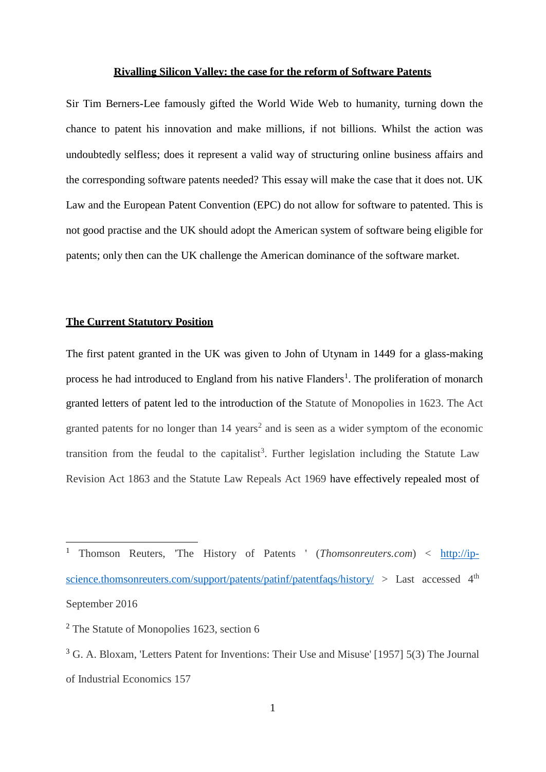#### **Rivalling Silicon Valley: the case for the reform of Software Patents**

Sir Tim Berners-Lee famously gifted the World Wide Web to humanity, turning down the chance to patent his innovation and make millions, if not billions. Whilst the action was undoubtedly selfless; does it represent a valid way of structuring online business affairs and the corresponding software patents needed? This essay will make the case that it does not. UK Law and the European Patent Convention (EPC) do not allow for software to patented. This is not good practise and the UK should adopt the American system of software being eligible for patents; only then can the UK challenge the American dominance of the software market.

### **The Current Statutory Position**

The first patent granted in the UK was given to John of Utynam in 1449 for a glass-making process he had introduced to England from his native Flanders<sup>1</sup>. The proliferation of monarch granted letters of patent led to the introduction of the Statute of Monopolies in 1623. The Act granted patents for no longer than 14 years<sup>2</sup> and is seen as a wider symptom of the economic transition from the feudal to the capitalist<sup>3</sup>. Further legislation including the Statute Law Revision Act 1863 and the Statute Law Repeals Act 1969 have effectively repealed most of

<sup>1</sup> Thomson Reuters, 'The History of Patents ' (*Thomsonreuters.com*) < [http://ip](http://ip-science.thomsonreuters.com/support/patents/patinf/patentfaqs/history/)[science.thomsonreuters.com/support/patents/patinf/patentfaqs/history/](http://ip-science.thomsonreuters.com/support/patents/patinf/patentfaqs/history/) > Last accessed 4<sup>th</sup> September 2016

<sup>&</sup>lt;sup>2</sup> The Statute of Monopolies 1623, section 6

<sup>&</sup>lt;sup>3</sup> G. A. Bloxam, 'Letters Patent for Inventions: Their Use and Misuse' [1957] 5(3) The Journal of Industrial Economics 157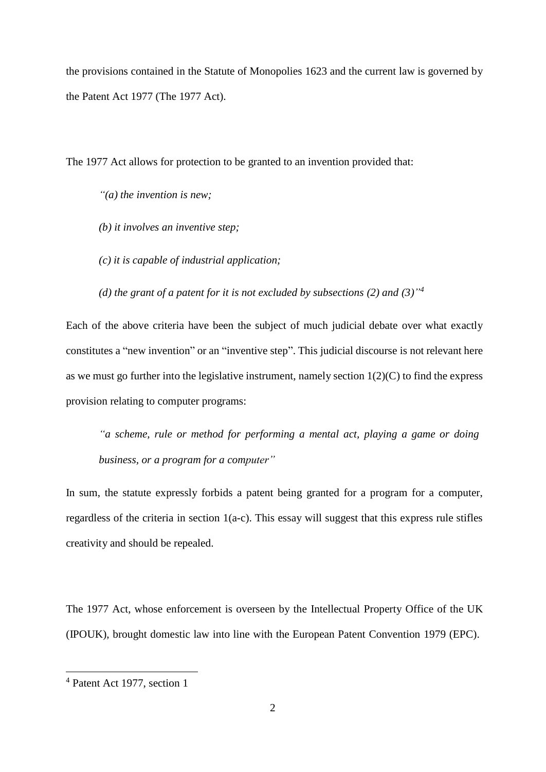the provisions contained in the Statute of Monopolies 1623 and the current law is governed by the Patent Act 1977 (The 1977 Act).

The 1977 Act allows for protection to be granted to an invention provided that:

*"(a) the invention is new;*

- *(b) it involves an inventive step;*
- *(c) it is capable of industrial application;*

*(d) the grant of a patent for it is not excluded by subsections (2) and (3)" 4*

Each of the above criteria have been the subject of much judicial debate over what exactly constitutes a "new invention" or an "inventive step". This judicial discourse is not relevant here as we must go further into the legislative instrument, namely section  $1(2)(C)$  to find the express provision relating to computer programs:

*"a scheme, rule or method for performing a mental act, playing a game or doing business, or a program for a computer"*

In sum, the statute expressly forbids a patent being granted for a program for a computer, regardless of the criteria in section 1(a-c). This essay will suggest that this express rule stifles creativity and should be repealed.

The 1977 Act, whose enforcement is overseen by the Intellectual Property Office of the UK (IPOUK), brought domestic law into line with the European Patent Convention 1979 (EPC).

<sup>4</sup> Patent Act 1977, section 1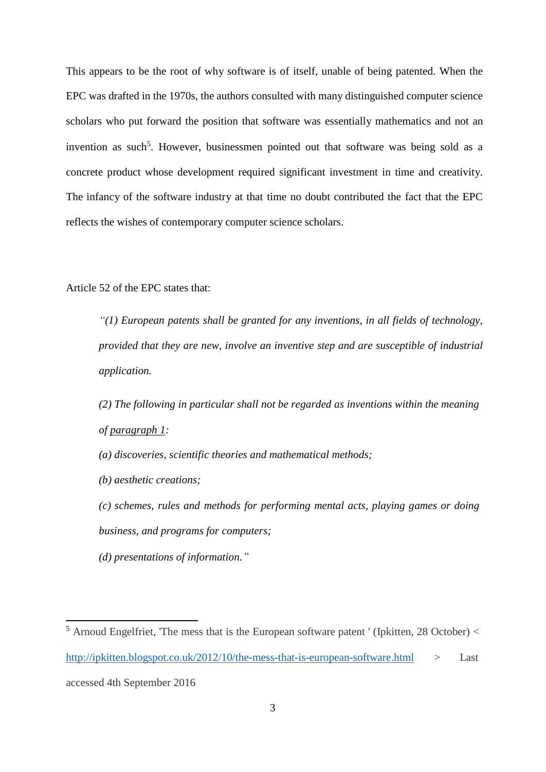This appears to be the root of why software is of itself, unable of being patented. When the EPC was drafted in the 1970s, the authors consulted with many distinguished computer science scholars who put forward the position that software was essentially mathematics and not an invention as such 5 . However, businessmen pointed out that software was being sold as a concrete product whose development required significant investment in time and creativity. The infancy of the software industry at that time no doubt contributed the fact that the EPC reflects the wishes of contemporary computer science scholars.

Article 52 of the EPC states that:

*"(1) European patents shall be granted for any inventions, in all fields of technology, provided that they are new, involve an inventive step and are susceptible of industrial application.*

*(2) The following in particular shall not be regarded as inventions within the meaning of [paragraph](https://www.epo.org/law-practice/legal-texts/html/epc/2016/e/ar52.html) 1:*

*(a) discoveries, scientific theories and mathematical methods;* 

*(b) aesthetic creations;*

*(c) schemes, rules and methods for performing mental acts, playing games or doing business, and programs for computers;*

*(d) presentations of information."*

 $5$  Arnoud Engelfriet, 'The mess that is the European software patent ' (Ipkitten, 28 October)  $<$ <http://ipkitten.blogspot.co.uk/2012/10/the-mess-that-is-european-software.html> > Last accessed 4th September 2016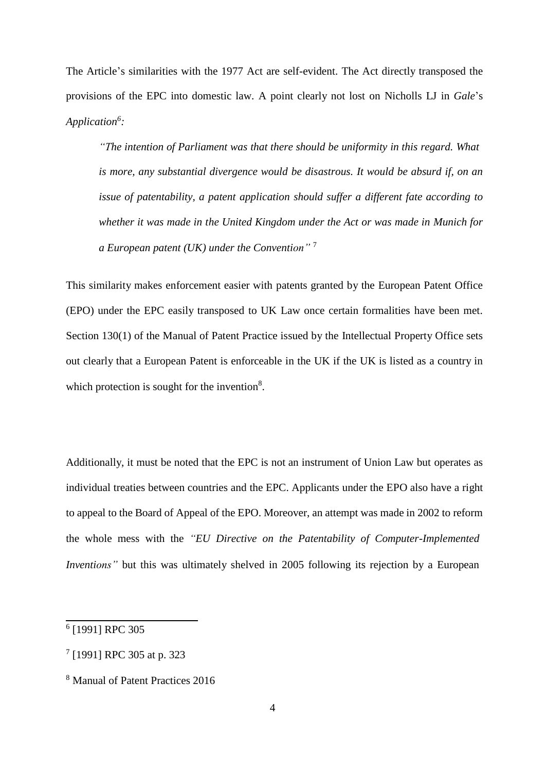The Article's similarities with the 1977 Act are self-evident. The Act directly transposed the provisions of the EPC into domestic law. A point clearly not lost on Nicholls LJ in *Gale*'s *Application<sup>6</sup> :*

*"The intention of Parliament was that there should be uniformity in this regard. What is more, any substantial divergence would be disastrous. It would be absurd if, on an issue of patentability, a patent application should suffer a different fate according to whether it was made in the United Kingdom under the Act or was made in Munich for a European patent (UK) under the Convention"* <sup>7</sup>

This similarity makes enforcement easier with patents granted by the European Patent Office (EPO) under the EPC easily transposed to UK Law once certain formalities have been met. Section 130(1) of the Manual of Patent Practice issued by the Intellectual Property Office sets out clearly that a European Patent is enforceable in the UK if the UK is listed as a country in which protection is sought for the invention<sup>8</sup>.

Additionally, it must be noted that the EPC is not an instrument of Union Law but operates as individual treaties between countries and the EPC. Applicants under the EPO also have a right to appeal to the Board of Appeal of the EPO. Moreover, an attempt was made in 2002 to reform the whole mess with the *"EU Directive on the Patentability of Computer-Implemented Inventions"* but this was ultimately shelved in 2005 following its rejection by a European

<sup>6</sup> [1991] RPC 305

 $7$  [1991] RPC 305 at p. 323

<sup>8</sup> Manual of Patent Practices 2016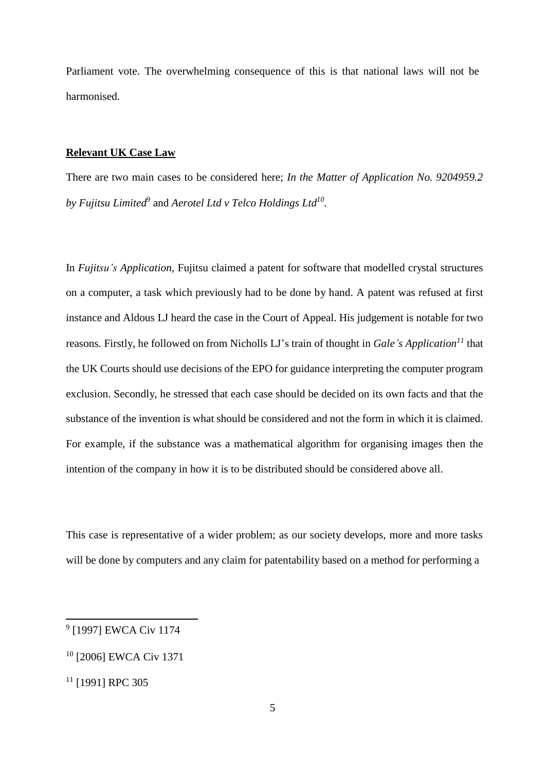Parliament vote. The overwhelming consequence of this is that national laws will not be harmonised.

# **Relevant UK Case Law**

There are two main cases to be considered here; *In the Matter of Application No. 9204959.2* by Fujitsu Limited $^9$  and Aerotel Ltd v Telco Holdings Ltd $^{10}$ .

In *Fujitsu's Application*, Fujitsu claimed a patent for software that modelled crystal structures on a computer, a task which previously had to be done by hand. A patent was refused at first instance and Aldous LJ heard the case in the Court of Appeal. His judgement is notable for two reasons. Firstly, he followed on from Nicholls LJ's train of thought in *Gale's Application 11* that the UK Courts should use decisions of the EPO for guidance interpreting the computer program exclusion. Secondly, he stressed that each case should be decided on its own facts and that the substance of the invention is what should be considered and not the form in which it is claimed. For example, if the substance was a mathematical algorithm for organising images then the intention of the company in how it is to be distributed should be considered above all.

This case is representative of a wider problem; as our society develops, more and more tasks will be done by computers and any claim for patentability based on a method for performing a

<sup>9</sup> [1997] EWCA Civ 1174

<sup>10</sup> [2006] EWCA Civ 1371

<sup>&</sup>lt;sup>11</sup> [1991] RPC 305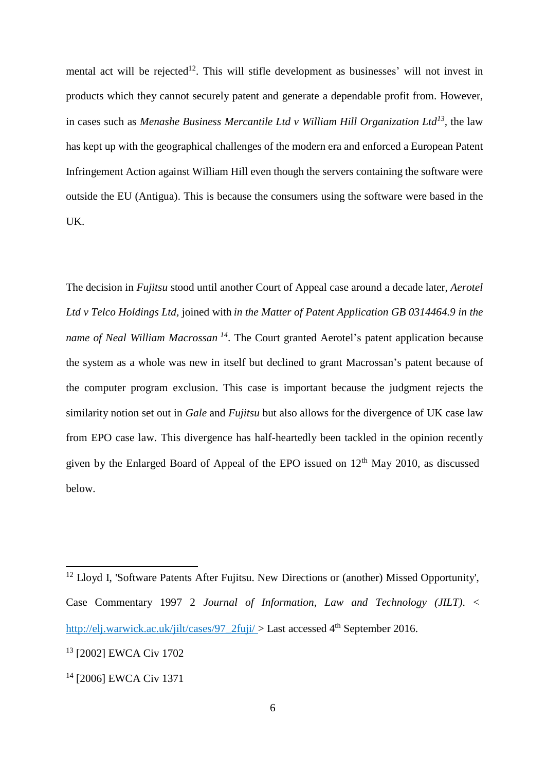mental act will be rejected<sup>12</sup>. This will stifle development as businesses' will not invest in products which they cannot securely patent and generate a dependable profit from. However, in cases such as *Menashe Business Mercantile Ltd v William Hill Organization Ltd 13 ,* the law has kept up with the geographical challenges of the modern era and enforced a European Patent Infringement Action against William Hill even though the servers containing the software were outside the EU (Antigua). This is because the consumers using the software were based in the UK.

The decision in *Fujitsu* stood until another Court of Appeal case around a decade later, *Aerotel Ltd v Telco Holdings Ltd,* joined with *in the Matter of Patent Application GB 0314464.9 in the name of Neal William Macrossan <sup>14</sup>* . The Court granted Aerotel's patent application because the system as a whole was new in itself but declined to grant Macrossan's patent because of the computer program exclusion. This case is important because the judgment rejects the similarity notion set out in *Gale* and *Fujitsu* but also allows for the divergence of UK case law from EPO case law. This divergence has half-heartedly been tackled in the opinion recently given by the Enlarged Board of Appeal of the EPO issued on 12<sup>th</sup> May 2010, as discussed below.

<sup>&</sup>lt;sup>12</sup> Lloyd I, 'Software Patents After Fujitsu. New Directions or (another) Missed Opportunity', Case Commentary 1997 2 *Journal of Information, Law and Technology (JILT)*. < http://elj.warwick.ac.uk/jilt/cases/97  $2$ fuji/ > Last accessed 4<sup>th</sup> September 2016.

<sup>13</sup> [2002] EWCA Civ 1702

<sup>14</sup> [2006] EWCA Civ 1371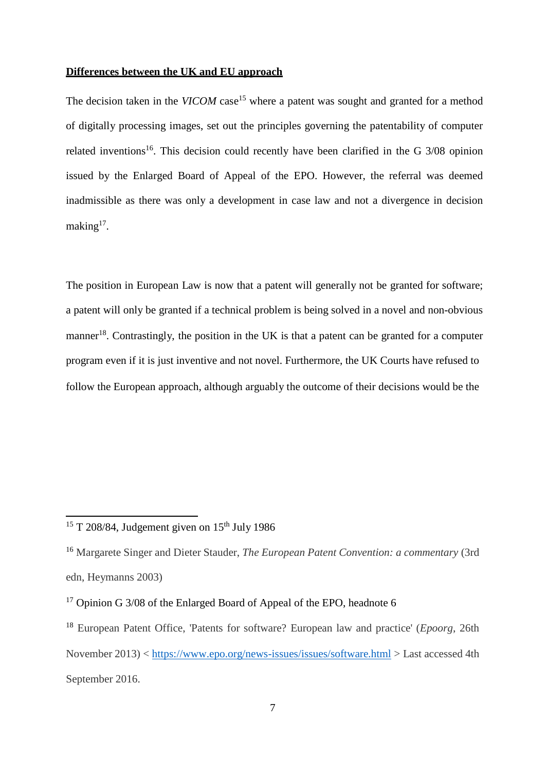### **Differences between the UK and EU approach**

The decision taken in the *VICOM* case<sup>15</sup> where a patent was sought and granted for a method of digitally processing images, set out the principles governing the patentability of computer related inventions<sup>16</sup>. This decision could recently have been clarified in the G  $3/08$  opinion issued by the Enlarged Board of Appeal of the EPO. However, the referral was deemed inadmissible as there was only a development in case law and not a divergence in decision making<sup>17</sup>.

The position in European Law is now that a patent will generally not be granted for software; a patent will only be granted if a technical problem is being solved in a novel and non-obvious manner<sup>18</sup>. Contrastingly, the position in the UK is that a patent can be granted for a computer program even if it is just inventive and not novel. Furthermore, the UK Courts have refused to follow the European approach, although arguably the outcome of their decisions would be the

 $15$  T 208/84, Judgement given on  $15<sup>th</sup>$  July 1986

<sup>16</sup> Margarete Singer and Dieter Stauder, *The European Patent Convention: a commentary* (3rd edn, Heymanns 2003)

<sup>&</sup>lt;sup>17</sup> Opinion G 3/08 of the Enlarged Board of Appeal of the EPO, headnote 6

<sup>18</sup>European Patent Office, 'Patents for software? European law and practice' (*Epoorg*, 26th November 2013) <<https://www.epo.org/news-issues/issues/software.html> > Last accessed 4th September 2016.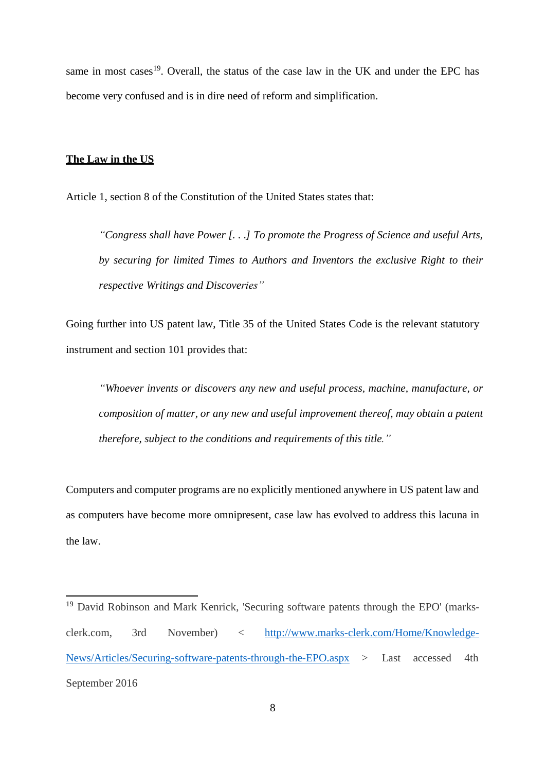same in most cases<sup>19</sup>. Overall, the status of the case law in the UK and under the EPC has become very confused and is in dire need of reform and simplification.

## **The Law in the US**

Article 1, section 8 of the Constitution of the United States states that:

*"Congress shall have Power [. . .] To promote the Progress of Science and useful Arts, by securing for limited Times to Authors and Inventors the exclusive Right to their respective Writings and Discoveries"*

Going further into US patent law, Title 35 of the United States Code is the relevant statutory instrument and section 101 provides that:

*"Whoever invents or discovers any new and useful process, machine, manufacture, or composition of matter, or any new and useful improvement thereof, may obtain a patent therefore, subject to the conditions and requirements of this title."*

Computers and computer programs are no explicitly mentioned anywhere in US patent law and as computers have become more omnipresent, case law has evolved to address this lacuna in the law.

<sup>&</sup>lt;sup>19</sup> David Robinson and Mark Kenrick, 'Securing software patents through the EPO' (marksclerk.com, 3rd November) < [http://www.marks-clerk.com/Home/Knowledge-](http://www.marks-clerk.com/Home/Knowledge-News/Articles/Securing-software-patents-through-the-EPO.aspx)[News/Articles/Securing-software-patents-through-the-EPO.aspx](http://www.marks-clerk.com/Home/Knowledge-News/Articles/Securing-software-patents-through-the-EPO.aspx) > Last accessed 4th September 2016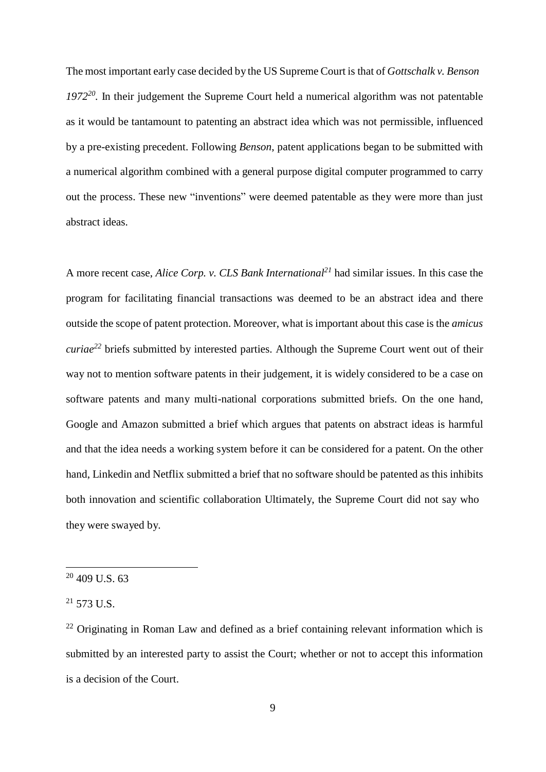The most important early case decided by the US Supreme Court is that of *Gottschalk v. Benson 1972<sup>20</sup> .* In their judgement the Supreme Court held a numerical algorithm was not patentable as it would be tantamount to patenting an abstract idea which was not permissible, influenced by a pre-existing precedent. Following *Benson*, patent applications began to be submitted with a numerical algorithm combined with a general purpose digital computer programmed to carry out the process. These new "inventions" were deemed patentable as they were more than just abstract ideas.

A more recent case, *Alice Corp. v. CLS Bank International<sup>21</sup>* had similar issues. In this case the program for facilitating financial transactions was deemed to be an abstract idea and there outside the scope of patent protection. Moreover, what is important about this case is the *amicus curiae<sup>22</sup>* briefs submitted by interested parties. Although the Supreme Court went out of their way not to mention software patents in their judgement, it is widely considered to be a case on software patents and many multi-national corporations submitted briefs. On the one hand, Google and Amazon submitted a brief which argues that patents on abstract ideas is harmful and that the idea needs a working system before it can be considered for a patent. On the other hand, Linkedin and Netflix submitted a brief that no software should be patented as this inhibits both innovation and scientific collaboration Ultimately, the Supreme Court did not say who they were swayed by.

 $20$  409 U.S. 63

 $^{21}$  573 U.S.

 $22$  Originating in Roman Law and defined as a brief containing relevant information which is submitted by an interested party to assist the Court; whether or not to accept this information is a decision of the Court.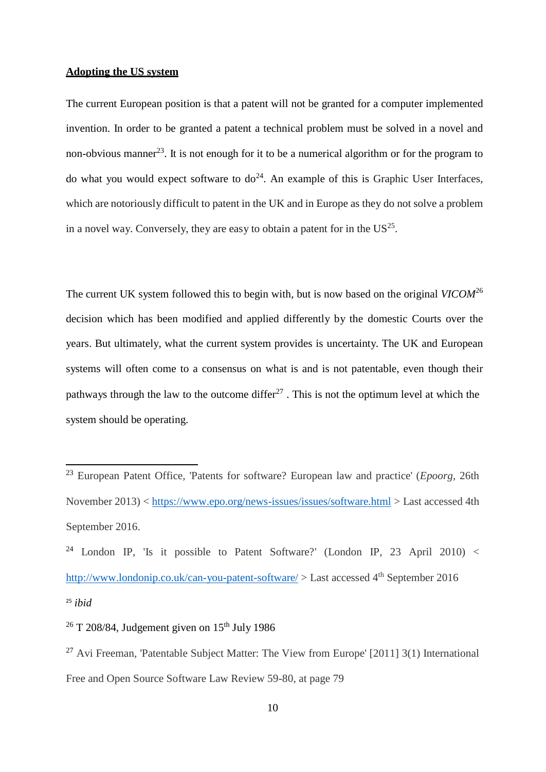## **Adopting the US system**

The current European position is that a patent will not be granted for a computer implemented invention. In order to be granted a patent a technical problem must be solved in a novel and non-obvious manner<sup>23</sup>. It is not enough for it to be a numerical algorithm or for the program to do what you would expect software to  $do<sup>24</sup>$ . An example of this is Graphic User Interfaces, which are notoriously difficult to patent in the UK and in Europe as they do not solve a problem in a novel way. Conversely, they are easy to obtain a patent for in the  $US^{25}$ .

The current UK system followed this to begin with, but is now based on the original *VICOM*<sup>26</sup> decision which has been modified and applied differently by the domestic Courts over the years. But ultimately, what the current system provides is uncertainty. The UK and European systems will often come to a consensus on what is and is not patentable, even though their pathways through the law to the outcome differ $^{27}$ . This is not the optimum level at which the system should be operating.

<sup>&</sup>lt;sup>23</sup> European Patent Office, 'Patents for software? European law and practice' (*Epoorg*, 26th November 2013) <<https://www.epo.org/news-issues/issues/software.html> > Last accessed 4th September 2016.

<sup>&</sup>lt;sup>24</sup> London IP, 'Is it possible to Patent Software?' (London IP, 23 April 2010) < <http://www.londonip.co.uk/can-you-patent-software/>  $>$  Last accessed 4<sup>th</sup> September 2016 25 *ibid*

 $26$  T 208/84, Judgement given on  $15<sup>th</sup>$  July 1986

<sup>27</sup> Avi Freeman, 'Patentable Subject Matter: The View from Europe' [2011] 3(1) International Free and Open Source Software Law Review 59-80, at page 79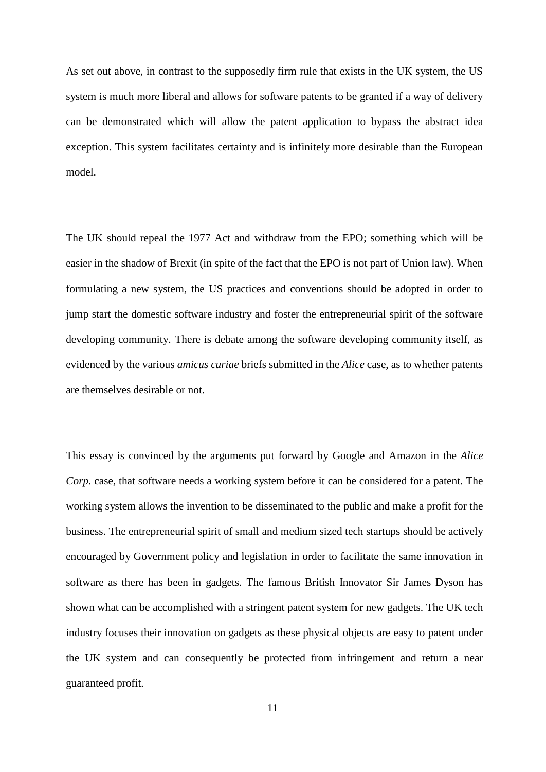As set out above, in contrast to the supposedly firm rule that exists in the UK system, the US system is much more liberal and allows for software patents to be granted if a way of delivery can be demonstrated which will allow the patent application to bypass the abstract idea exception. This system facilitates certainty and is infinitely more desirable than the European model.

The UK should repeal the 1977 Act and withdraw from the EPO; something which will be easier in the shadow of Brexit (in spite of the fact that the EPO is not part of Union law). When formulating a new system, the US practices and conventions should be adopted in order to jump start the domestic software industry and foster the entrepreneurial spirit of the software developing community. There is debate among the software developing community itself, as evidenced by the various *amicus curiae* briefs submitted in the *Alice* case, as to whether patents are themselves desirable or not.

This essay is convinced by the arguments put forward by Google and Amazon in the *Alice Corp.* case, that software needs a working system before it can be considered for a patent. The working system allows the invention to be disseminated to the public and make a profit for the business. The entrepreneurial spirit of small and medium sized tech startups should be actively encouraged by Government policy and legislation in order to facilitate the same innovation in software as there has been in gadgets. The famous British Innovator Sir James Dyson has shown what can be accomplished with a stringent patent system for new gadgets. The UK tech industry focuses their innovation on gadgets as these physical objects are easy to patent under the UK system and can consequently be protected from infringement and return a near guaranteed profit.